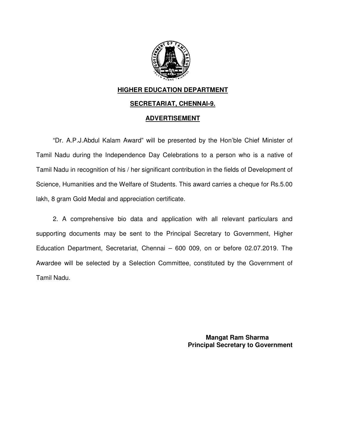

## **HIGHER EDUCATION DEPARTMENT SECRETARIAT, CHENNAI CHENNAI-9.**

## **ADVERTISEMENT**

"Dr. A.P.J.Abdul Kalam Award" will be presented by the Hon'ble Chief Minister of Tamil Nadu during the Independence Day Celebrations to a person who is a native of "Dr. A.P.J.Abdul Kalam Award" will be presented by the Hon'ble Chief Minister of<br>Tamil Nadu during the Independence Day Celebrations to a person who is a native of<br>Tamil Nadu in recognition of his / her significant contrib Science, Humanities and the Welfare of Students. This award carries a cheque for Rs.5.00 lakh, 8 gram Gold Medal and appreciation certificate.

2. A comprehensive bio data and application with all relevant particulars and supporting documents may be sent to the Education Department, Secretariat, Chennai – 600 009, on or before 02.07.2019. The Awardee will be selected by a Selection Committee, constituted by the Government of Tamil Nadu. manities and the Welfare of Students. This award carries a cheque for Rs.5.00<br>Gold Medal and appreciation certificate.<br>comprehensive bio data and application with all relevant particulars and<br>documents may be sent to the P selected by a Selection Committee, constituted by the Govern<br>
Wangat Ram Sharma<br>
Mangat Ram Sharma 2. A comprehensive bio data and application with all rele<br>supporting documents may be sent to the Principal Secretary to<br>Education Department, Secretariat, Chennai – 600 009, on or bet<br>Awardee will be selected by a Selecti

 **Principal Secretary to Government**